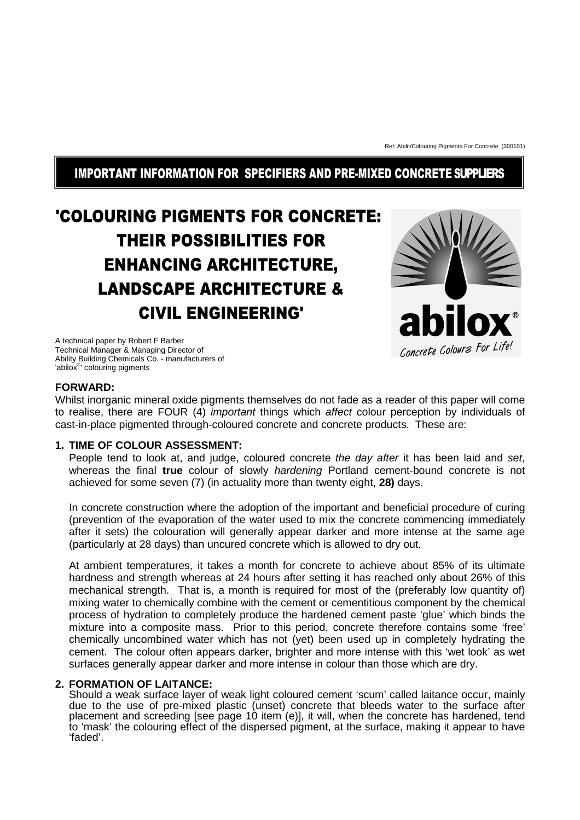Ref: Abilit/Colouring Pigments For Concrete (300101)

# IMPORTANT INFORMATION FOR SPECIFIERS AND PRE-MIXED CONCRETE SUPPLIERS

# 'COLOURING PIGMENTS FOR CONCRETE: **THEIR POSSIBILITIES FOR ENHANCING ARCHITECTURE, LANDSCAPE ARCHITECTURE & CIVIL ENGINEERING'**

A technical paper by Robert F Barber Technical Manager & Managing Director of Ability Building Chemicals Co. - manufacturers of 'abilox® ' colouring pigments



#### **FORWARD:**

Whilst inorganic mineral oxide pigments themselves do not fade as a reader of this paper will come to realise, there are FOUR (4) important things which affect colour perception by individuals of cast-in-place pigmented through-coloured concrete and concrete products. These are:

# **1. TIME OF COLOUR ASSESSMENT:**

People tend to look at, and judge, coloured concrete the day after it has been laid and set, whereas the final **true** colour of slowly hardening Portland cement-bound concrete is not achieved for some seven (7) (in actuality more than twenty eight, **28)** days.

In concrete construction where the adoption of the important and beneficial procedure of curing (prevention of the evaporation of the water used to mix the concrete commencing immediately after it sets) the colouration will generally appear darker and more intense at the same age (particularly at 28 days) than uncured concrete which is allowed to dry out.

At ambient temperatures, it takes a month for concrete to achieve about 85% of its ultimate hardness and strength whereas at 24 hours after setting it has reached only about 26% of this mechanical strength. That is, a month is required for most of the (preferably low quantity of) mixing water to chemically combine with the cement or cementitious component by the chemical process of hydration to completely produce the hardened cement paste 'glue' which binds the mixture into a composite mass. Prior to this period, concrete therefore contains some 'free' chemically uncombined water which has not (yet) been used up in completely hydrating the cement. The colour often appears darker, brighter and more intense with this 'wet look' as wet surfaces generally appear darker and more intense in colour than those which are dry.

# **2. FORMATION OF LAITANCE:**

Should a weak surface layer of weak light coloured cement 'scum' called laitance occur, mainly due to the use of pre-mixed plastic (unset) concrete that bleeds water to the surface after placement and screeding [see page 10 item (e)], it will, when the concrete has hardened, tend to 'mask' the colouring effect of the dispersed pigment, at the surface, making it appear to have 'faded'.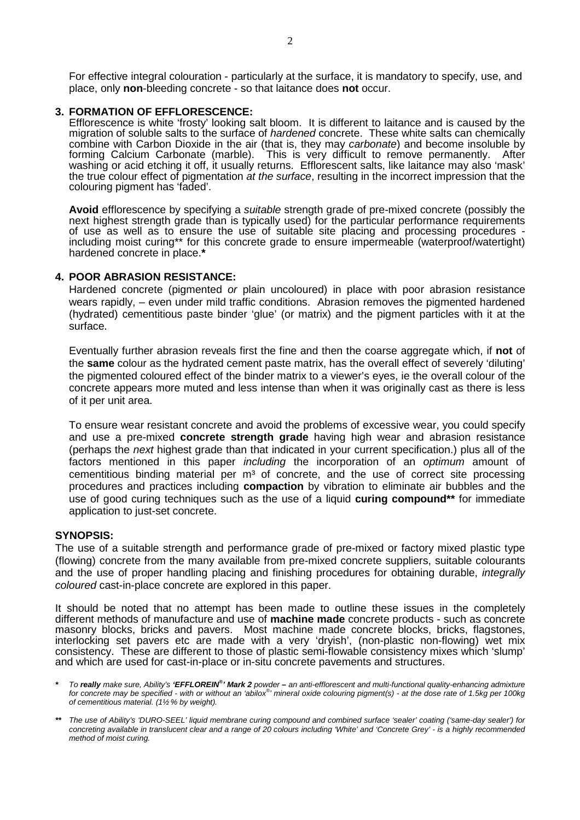For effective integral colouration - particularly at the surface, it is mandatory to specify, use, and place, only **non**-bleeding concrete - so that laitance does **not** occur.

#### **3. FORMATION OF EFFLORESCENCE:**

Efflorescence is white 'frosty' looking salt bloom. It is different to laitance and is caused by the migration of soluble salts to the surface of *hardened* concrete. These white salts can chemically combine with Carbon Dioxide in the air (that is, they may carbonate) and become insoluble by forming Calcium Carbonate (marble). This is very difficult to remove permanently. After washing or acid etching it off, it usually returns. Efflorescent salts, like laitance may also 'mask' the true colour effect of pigmentation at the surface, resulting in the incorrect impression that the colouring pigment has 'faded'.

**Avoid** efflorescence by specifying a suitable strength grade of pre-mixed concrete (possibly the next highest strength grade than is typically used) for the particular performance requirements of use as well as to ensure the use of suitable site placing and processing procedures including moist curing\*\* for this concrete grade to ensure impermeable (waterproof/watertight) hardened concrete in place.**\*** 

#### **4. POOR ABRASION RESISTANCE:**

Hardened concrete (pigmented or plain uncoloured) in place with poor abrasion resistance wears rapidly, – even under mild traffic conditions. Abrasion removes the pigmented hardened (hydrated) cementitious paste binder 'glue' (or matrix) and the pigment particles with it at the surface.

Eventually further abrasion reveals first the fine and then the coarse aggregate which, if **not** of the **same** colour as the hydrated cement paste matrix, has the overall effect of severely 'diluting' the pigmented coloured effect of the binder matrix to a viewer's eyes, ie the overall colour of the concrete appears more muted and less intense than when it was originally cast as there is less of it per unit area.

To ensure wear resistant concrete and avoid the problems of excessive wear, you could specify and use a pre-mixed **concrete strength grade** having high wear and abrasion resistance (perhaps the next highest grade than that indicated in your current specification.) plus all of the factors mentioned in this paper *including* the incorporation of an *optimum* amount of cementitious binding material per  $m<sup>3</sup>$  of concrete, and the use of correct site processing procedures and practices including **compaction** by vibration to eliminate air bubbles and the use of good curing techniques such as the use of a liquid **curing compound\*\*** for immediate application to just-set concrete.

#### **SYNOPSIS:**

The use of a suitable strength and performance grade of pre-mixed or factory mixed plastic type (flowing) concrete from the many available from pre-mixed concrete suppliers, suitable colourants and the use of proper handling placing and finishing procedures for obtaining durable, *integrally* coloured cast-in-place concrete are explored in this paper.

It should be noted that no attempt has been made to outline these issues in the completely different methods of manufacture and use of **machine made** concrete products - such as concrete masonry blocks, bricks and pavers. Most machine made concrete blocks, bricks, flagstones, interlocking set pavers etc are made with a very 'dryish', (non-plastic non-flowing) wet mix consistency. These are different to those of plastic semi-flowable consistency mixes which 'slump' and which are used for cast-in-place or in-situ concrete pavements and structures.

- **\*** To **really** make sure, Ability's **'EFFLOREIN® ' Mark 2** powderan anti-efflorescent and multi-functional quality-enhancing admixture for concrete may be specified - with or without an 'abilox®' mineral oxide colouring pigment(s) - at the dose rate of 1.5kg per 100kg of cementitious material. (1½ % by weight).
- **\*\*** The use of Ability's 'DURO-SEEL' liquid membrane curing compound and combined surface 'sealer' coating ('same-day sealer') for concreting available in translucent clear and a range of 20 colours including 'White' and 'Concrete Grey' - is a highly recommended method of moist curing.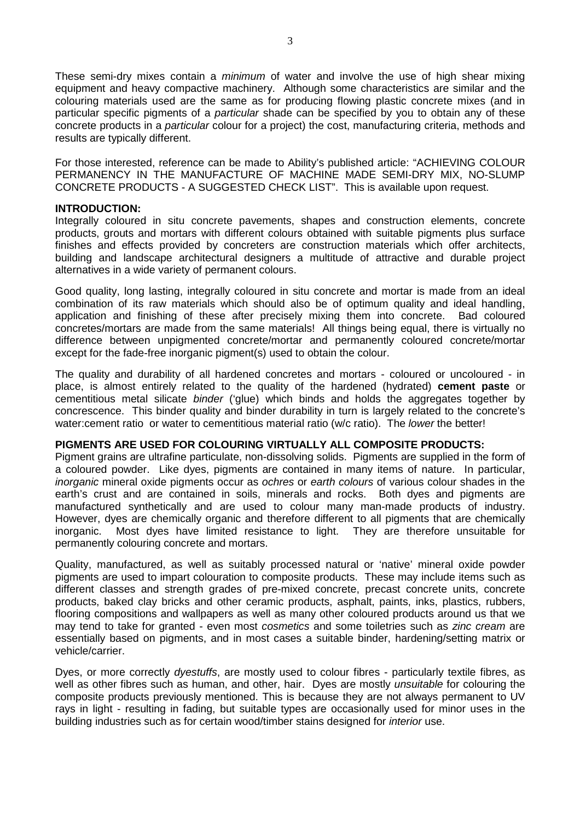These semi-dry mixes contain a *minimum* of water and involve the use of high shear mixing equipment and heavy compactive machinery. Although some characteristics are similar and the colouring materials used are the same as for producing flowing plastic concrete mixes (and in particular specific pigments of a particular shade can be specified by you to obtain any of these concrete products in a particular colour for a project) the cost, manufacturing criteria, methods and results are typically different.

For those interested, reference can be made to Ability's published article: "ACHIEVING COLOUR PERMANENCY IN THE MANUFACTURE OF MACHINE MADE SEMI-DRY MIX, NO-SLUMP CONCRETE PRODUCTS - A SUGGESTED CHECK LIST". This is available upon request.

# **INTRODUCTION:**

Integrally coloured in situ concrete pavements, shapes and construction elements, concrete products, grouts and mortars with different colours obtained with suitable pigments plus surface finishes and effects provided by concreters are construction materials which offer architects, building and landscape architectural designers a multitude of attractive and durable project alternatives in a wide variety of permanent colours.

Good quality, long lasting, integrally coloured in situ concrete and mortar is made from an ideal combination of its raw materials which should also be of optimum quality and ideal handling, application and finishing of these after precisely mixing them into concrete. Bad coloured concretes/mortars are made from the same materials! All things being equal, there is virtually no difference between unpigmented concrete/mortar and permanently coloured concrete/mortar except for the fade-free inorganic pigment(s) used to obtain the colour.

The quality and durability of all hardened concretes and mortars - coloured or uncoloured - in place, is almost entirely related to the quality of the hardened (hydrated) **cement paste** or cementitious metal silicate binder ('glue) which binds and holds the aggregates together by concrescence. This binder quality and binder durability in turn is largely related to the concrete's water:cement ratio or water to cementitious material ratio (w/c ratio). The *lower* the better!

# **PIGMENTS ARE USED FOR COLOURING VIRTUALLY ALL COMPOSITE PRODUCTS:**

Pigment grains are ultrafine particulate, non-dissolving solids. Pigments are supplied in the form of a coloured powder. Like dyes, pigments are contained in many items of nature. In particular, inorganic mineral oxide pigments occur as ochres or earth colours of various colour shades in the earth's crust and are contained in soils, minerals and rocks. Both dyes and pigments are manufactured synthetically and are used to colour many man-made products of industry. However, dyes are chemically organic and therefore different to all pigments that are chemically inorganic. Most dyes have limited resistance to light. They are therefore unsuitable for permanently colouring concrete and mortars.

Quality, manufactured, as well as suitably processed natural or 'native' mineral oxide powder pigments are used to impart colouration to composite products. These may include items such as different classes and strength grades of pre-mixed concrete, precast concrete units, concrete products, baked clay bricks and other ceramic products, asphalt, paints, inks, plastics, rubbers, flooring compositions and wallpapers as well as many other coloured products around us that we may tend to take for granted - even most cosmetics and some toiletries such as zinc cream are essentially based on pigments, and in most cases a suitable binder, hardening/setting matrix or vehicle/carrier.

Dyes, or more correctly dyestuffs, are mostly used to colour fibres - particularly textile fibres, as well as other fibres such as human, and other, hair. Dyes are mostly *unsuitable* for colouring the composite products previously mentioned. This is because they are not always permanent to UV rays in light - resulting in fading, but suitable types are occasionally used for minor uses in the building industries such as for certain wood/timber stains designed for *interior* use.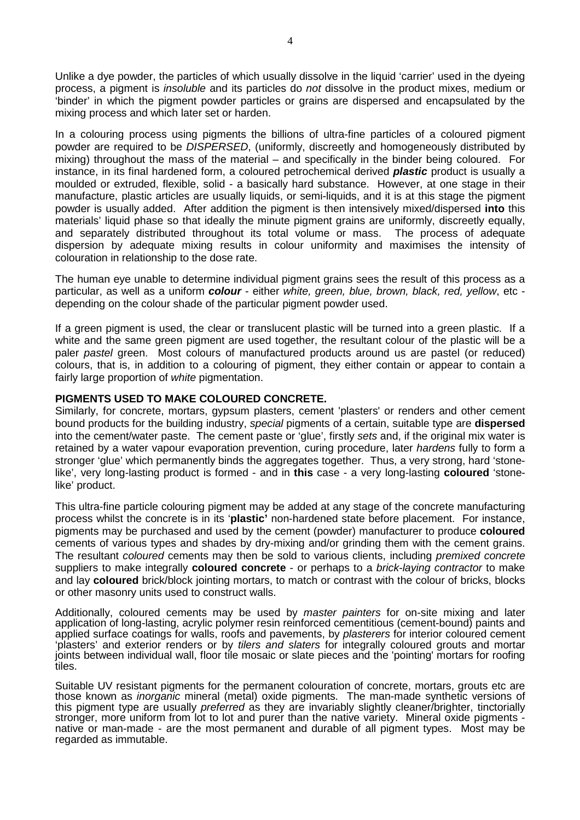Unlike a dye powder, the particles of which usually dissolve in the liquid 'carrier' used in the dyeing process, a pigment is insoluble and its particles do not dissolve in the product mixes, medium or 'binder' in which the pigment powder particles or grains are dispersed and encapsulated by the mixing process and which later set or harden.

In a colouring process using pigments the billions of ultra-fine particles of a coloured pigment powder are required to be DISPERSED, (uniformly, discreetly and homogeneously distributed by mixing) throughout the mass of the material – and specifically in the binder being coloured. For instance, in its final hardened form, a coloured petrochemical derived **plastic** product is usually a moulded or extruded, flexible, solid - a basically hard substance. However, at one stage in their manufacture, plastic articles are usually liquids, or semi-liquids, and it is at this stage the pigment powder is usually added. After addition the pigment is then intensively mixed/dispersed **into** this materials' liquid phase so that ideally the minute pigment grains are uniformly, discreetly equally, and separately distributed throughout its total volume or mass. The process of adequate dispersion by adequate mixing results in colour uniformity and maximises the intensity of colouration in relationship to the dose rate.

The human eye unable to determine individual pigment grains sees the result of this process as a particular, as well as a uniform **colour** - either white, green, blue, brown, black, red, yellow, etc depending on the colour shade of the particular pigment powder used.

If a green pigment is used, the clear or translucent plastic will be turned into a green plastic. If a white and the same green pigment are used together, the resultant colour of the plastic will be a paler pastel green. Most colours of manufactured products around us are pastel (or reduced) colours, that is, in addition to a colouring of pigment, they either contain or appear to contain a fairly large proportion of white pigmentation.

#### **PIGMENTS USED TO MAKE COLOURED CONCRETE.**

Similarly, for concrete, mortars, gypsum plasters, cement 'plasters' or renders and other cement bound products for the building industry, special pigments of a certain, suitable type are **dispersed** into the cement/water paste. The cement paste or 'glue', firstly sets and, if the original mix water is retained by a water vapour evaporation prevention, curing procedure, later hardens fully to form a stronger 'glue' which permanently binds the aggregates together. Thus, a very strong, hard 'stonelike', very long-lasting product is formed - and in **this** case - a very long-lasting **coloured** 'stonelike' product.

This ultra-fine particle colouring pigment may be added at any stage of the concrete manufacturing process whilst the concrete is in its '**plastic'** non-hardened state before placement. For instance, pigments may be purchased and used by the cement (powder) manufacturer to produce **coloured** cements of various types and shades by dry-mixing and/or grinding them with the cement grains. The resultant coloured cements may then be sold to various clients, including premixed concrete suppliers to make integrally **coloured concrete** - or perhaps to a brick-laying contractor to make and lay **coloured** brick/block jointing mortars, to match or contrast with the colour of bricks, blocks or other masonry units used to construct walls.

Additionally, coloured cements may be used by master painters for on-site mixing and later application of long-lasting, acrylic polymer resin reinforced cementitious (cement-bound) paints and applied surface coatings for walls, roofs and pavements, by plasterers for interior coloured cement 'plasters' and exterior renders or by tilers and slaters for integrally coloured grouts and mortar joints between individual wall, floor tile mosaic or slate pieces and the 'pointing' mortars for roofing tiles.

Suitable UV resistant pigments for the permanent colouration of concrete, mortars, grouts etc are those known as inorganic mineral (metal) oxide pigments. The man-made synthetic versions of this pigment type are usually preferred as they are invariably slightly cleaner/brighter, tinctorially stronger, more uniform from lot to lot and purer than the native variety. Mineral oxide pigments native or man-made - are the most permanent and durable of all pigment types. Most may be regarded as immutable.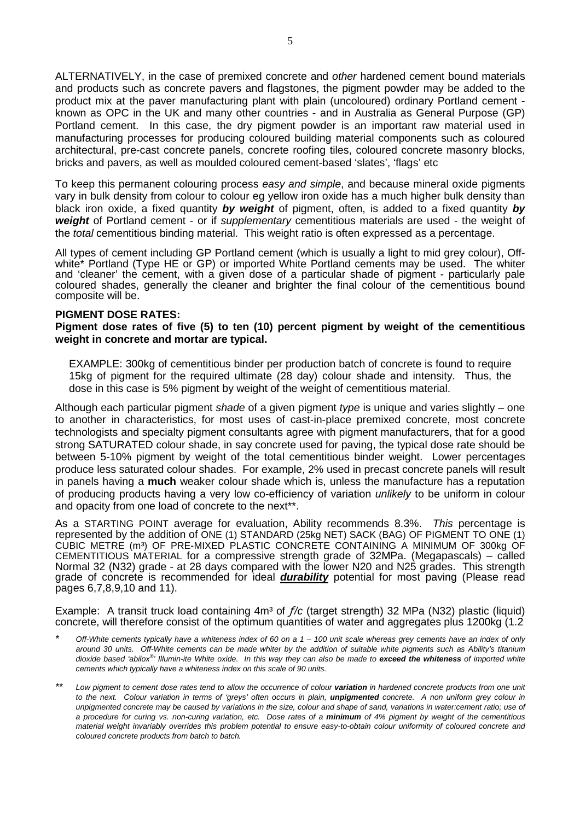ALTERNATIVELY, in the case of premixed concrete and other hardened cement bound materials and products such as concrete pavers and flagstones, the pigment powder may be added to the product mix at the paver manufacturing plant with plain (uncoloured) ordinary Portland cement known as OPC in the UK and many other countries - and in Australia as General Purpose (GP) Portland cement. In this case, the dry pigment powder is an important raw material used in manufacturing processes for producing coloured building material components such as coloured architectural, pre-cast concrete panels, concrete roofing tiles, coloured concrete masonry blocks, bricks and pavers, as well as moulded coloured cement-based 'slates', 'flags' etc

To keep this permanent colouring process easy and simple, and because mineral oxide pigments vary in bulk density from colour to colour eg yellow iron oxide has a much higher bulk density than black iron oxide, a fixed quantity **by weight** of pigment, often, is added to a fixed quantity **by weight** of Portland cement - or if supplementary cementitious materials are used - the weight of the total cementitious binding material. This weight ratio is often expressed as a percentage.

All types of cement including GP Portland cement (which is usually a light to mid grey colour), Offwhite\* Portland (Type HE or GP) or imported White Portland cements may be used. The whiter and 'cleaner' the cement, with a given dose of a particular shade of pigment - particularly pale coloured shades, generally the cleaner and brighter the final colour of the cementitious bound composite will be.

#### **PIGMENT DOSE RATES:**

#### **Pigment dose rates of five (5) to ten (10) percent pigment by weight of the cementitious weight in concrete and mortar are typical.**

EXAMPLE: 300kg of cementitious binder per production batch of concrete is found to require 15kg of pigment for the required ultimate (28 day) colour shade and intensity. Thus, the dose in this case is 5% pigment by weight of the weight of cementitious material.

Although each particular pigment shade of a given pigment type is unique and varies slightly – one to another in characteristics, for most uses of cast-in-place premixed concrete, most concrete technologists and specialty pigment consultants agree with pigment manufacturers, that for a good strong SATURATED colour shade, in say concrete used for paving, the typical dose rate should be between 5-10% pigment by weight of the total cementitious binder weight. Lower percentages produce less saturated colour shades. For example, 2% used in precast concrete panels will result in panels having a **much** weaker colour shade which is, unless the manufacture has a reputation of producing products having a very low co-efficiency of variation unlikely to be uniform in colour and opacity from one load of concrete to the next\*\*.

As a STARTING POINT average for evaluation, Ability recommends 8.3%. This percentage is represented by the addition of ONE (1) STANDARD (25kg NET) SACK (BAG) OF PIGMENT TO ONE (1) CUBIC METRE (m<sup>3</sup>) OF PRE-MIXED PLASTIC CONCRETE CONTAINING A MINIMUM OF 300kg OF CEMENTITIOUS MATERIAL for a compressive strength grade of 32MPa. (Megapascals) – called Normal 32 (N32) grade - at 28 days compared with the lower N20 and N25 grades. This strength grade of concrete is recommended for ideal **durability** potential for most paving (Please read pages 6,7,8,9,10 and 11).

Example: A transit truck load containing  $4m<sup>3</sup>$  of  $f/c$  (target strength) 32 MPa (N32) plastic (liquid) concrete, will therefore consist of the optimum quantities of water and aggregates plus 1200kg (1.2)

- Off-White cements typically have a whiteness index of 60 on a  $1 100$  unit scale whereas grey cements have an index of only around 30 units. Off-White cements can be made whiter by the addition of suitable white pigments such as Ability's titanium dioxide based 'abilox® ' Illumin-ite White oxide. In this way they can also be made to **exceed the whiteness** of imported white cements which typically have a whiteness index on this scale of 90 units.
- \*\* Low pigment to cement dose rates tend to allow the occurrence of colour **variation** in hardened concrete products from one unit to the next. Colour variation in terms of 'greys' often occurs in plain, **unpigmented** concrete. A non uniform grey colour in unpigmented concrete may be caused by variations in the size, colour and shape of sand, variations in water:cement ratio; use of a procedure for curing vs. non-curing variation, etc. Dose rates of a **minimum** of 4% pigment by weight of the cementitious material weight invariably overrides this problem potential to ensure easy-to-obtain colour uniformity of coloured concrete and coloured concrete products from batch to batch.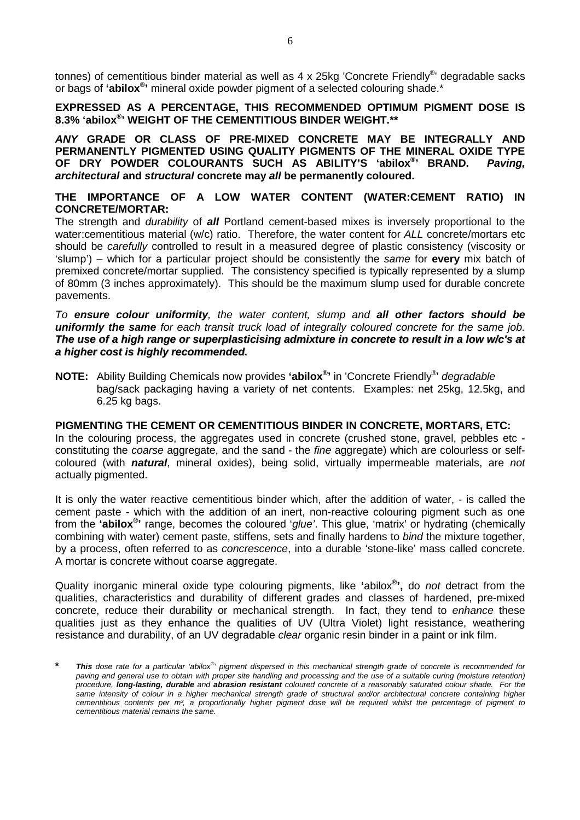tonnes) of cementitious binder material as well as 4 x 25kg 'Concrete Friendly®' degradable sacks or bags of **'abilox® '** mineral oxide powder pigment of a selected colouring shade.\*

**EXPRESSED AS A PERCENTAGE, THIS RECOMMENDED OPTIMUM PIGMENT DOSE IS 8.3% 'abilox® ' WEIGHT OF THE CEMENTITIOUS BINDER WEIGHT.\*\*** 

**ANY GRADE OR CLASS OF PRE-MIXED CONCRETE MAY BE INTEGRALLY AND PERMANENTLY PIGMENTED USING QUALITY PIGMENTS OF THE MINERAL OXIDE TYPE OF DRY POWDER COLOURANTS SUCH AS ABILITY'S 'abilox® ' BRAND. Paving, architectural and structural concrete may all be permanently coloured.** 

# **THE IMPORTANCE OF A LOW WATER CONTENT (WATER:CEMENT RATIO) IN CONCRETE/MORTAR:**

The strength and durability of **all** Portland cement-based mixes is inversely proportional to the water:cementitious material (w/c) ratio. Therefore, the water content for ALL concrete/mortars etc should be carefully controlled to result in a measured degree of plastic consistency (viscosity or 'slump') – which for a particular project should be consistently the same for **every** mix batch of premixed concrete/mortar supplied. The consistency specified is typically represented by a slump of 80mm (3 inches approximately). This should be the maximum slump used for durable concrete pavements.

To **ensure colour uniformity**, the water content, slump and **all other factors should be uniformly the same** for each transit truck load of integrally coloured concrete for the same job. **The use of a high range or superplasticising admixture in concrete to result in a low w/c's at a higher cost is highly recommended.**

**NOTE:** Ability Building Chemicals now provides **'abilox® '** in 'Concrete Friendly® ' degradable bag/sack packaging having a variety of net contents. Examples: net 25kg, 12.5kg, and 6.25 kg bags.

# **PIGMENTING THE CEMENT OR CEMENTITIOUS BINDER IN CONCRETE, MORTARS, ETC:**

In the colouring process, the aggregates used in concrete (crushed stone, gravel, pebbles etc constituting the *coarse* aggregate, and the sand - the *fine* aggregate) which are colourless or selfcoloured (with **natural**, mineral oxides), being solid, virtually impermeable materials, are not actually pigmented.

It is only the water reactive cementitious binder which, after the addition of water, - is called the cement paste - which with the addition of an inert, non-reactive colouring pigment such as one from the **'abilox® '** range, becomes the coloured 'glue'. This glue, 'matrix' or hydrating (chemically combining with water) cement paste, stiffens, sets and finally hardens to bind the mixture together, by a process, often referred to as concrescence, into a durable 'stone-like' mass called concrete. A mortar is concrete without coarse aggregate.

Quality inorganic mineral oxide type colouring pigments, like **'**abilox**® ',** do not detract from the qualities, characteristics and durability of different grades and classes of hardened, pre-mixed concrete, reduce their durability or mechanical strength. In fact, they tend to enhance these qualities just as they enhance the qualities of UV (Ultra Violet) light resistance, weathering resistance and durability, of an UV degradable *clear* organic resin binder in a paint or ink film.

**<sup>\*</sup> This** dose rate for a particular 'abilox® ' pigment dispersed in this mechanical strength grade of concrete is recommended for paving and general use to obtain with proper site handling and processing and the use of a suitable curing (moisture retention) procedure, **long-lasting, durable** and **abrasion resistant** coloured concrete of a reasonably saturated colour shade. For the same intensity of colour in a higher mechanical strength grade of structural and/or architectural concrete containing higher cementitious contents per  $m<sup>3</sup>$ , a proportionally higher pigment dose will be required whilst the percentage of pigment to cementitious material remains the same.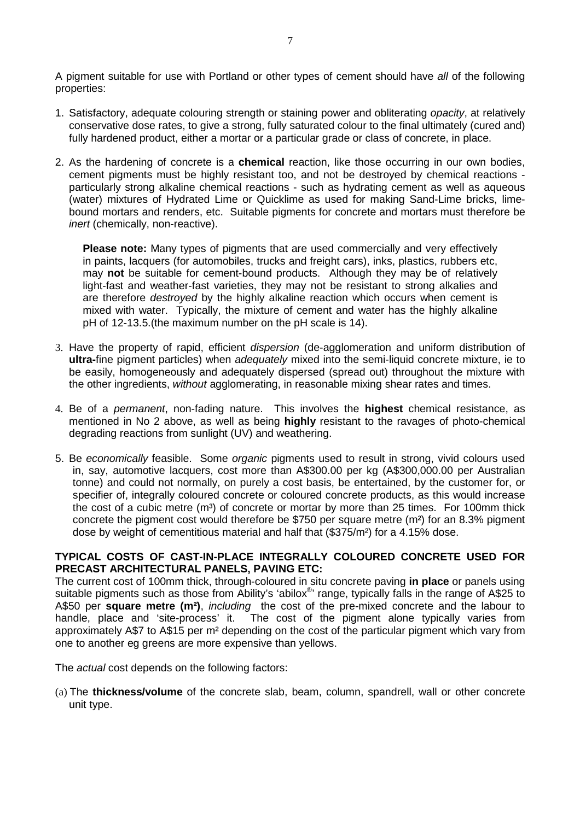A pigment suitable for use with Portland or other types of cement should have all of the following properties:

- 1. Satisfactory, adequate colouring strength or staining power and obliterating *opacity*, at relatively conservative dose rates, to give a strong, fully saturated colour to the final ultimately (cured and) fully hardened product, either a mortar or a particular grade or class of concrete, in place.
- 2. As the hardening of concrete is a **chemical** reaction, like those occurring in our own bodies, cement pigments must be highly resistant too, and not be destroyed by chemical reactions particularly strong alkaline chemical reactions - such as hydrating cement as well as aqueous (water) mixtures of Hydrated Lime or Quicklime as used for making Sand-Lime bricks, limebound mortars and renders, etc. Suitable pigments for concrete and mortars must therefore be inert (chemically, non-reactive).

**Please note:** Many types of pigments that are used commercially and very effectively in paints, lacquers (for automobiles, trucks and freight cars), inks, plastics, rubbers etc, may **not** be suitable for cement-bound products. Although they may be of relatively light-fast and weather-fast varieties, they may not be resistant to strong alkalies and are therefore destroyed by the highly alkaline reaction which occurs when cement is mixed with water. Typically, the mixture of cement and water has the highly alkaline pH of 12-13.5.(the maximum number on the pH scale is 14).

- 3. Have the property of rapid, efficient dispersion (de-agglomeration and uniform distribution of **ultra-**fine pigment particles) when adequately mixed into the semi-liquid concrete mixture, ie to be easily, homogeneously and adequately dispersed (spread out) throughout the mixture with the other ingredients, without agglomerating, in reasonable mixing shear rates and times.
- 4. Be of a permanent, non-fading nature. This involves the **highest** chemical resistance, as mentioned in No 2 above, as well as being **highly** resistant to the ravages of photo-chemical degrading reactions from sunlight (UV) and weathering.
- 5. Be economically feasible. Some organic pigments used to result in strong, vivid colours used in, say, automotive lacquers, cost more than A\$300.00 per kg (A\$300,000.00 per Australian tonne) and could not normally, on purely a cost basis, be entertained, by the customer for, or specifier of, integrally coloured concrete or coloured concrete products, as this would increase the cost of a cubic metre  $(m<sup>3</sup>)$  of concrete or mortar by more than 25 times. For 100mm thick concrete the pigment cost would therefore be \$750 per square metre (m²) for an 8.3% pigment dose by weight of cementitious material and half that (\$375/m²) for a 4.15% dose.

# **TYPICAL COSTS OF CAST-IN-PLACE INTEGRALLY COLOURED CONCRETE USED FOR PRECAST ARCHITECTURAL PANELS, PAVING ETC:**

The current cost of 100mm thick, through-coloured in situ concrete paving **in place** or panels using suitable pigments such as those from Ability's 'abilox®' range, typically falls in the range of A\$25 to A\$50 per **square metre (m²)**, including the cost of the pre-mixed concrete and the labour to handle, place and 'site-process' it. The cost of the pigment alone typically varies from approximately A\$7 to A\$15 per m² depending on the cost of the particular pigment which vary from one to another eg greens are more expensive than yellows.

The actual cost depends on the following factors:

(a) The **thickness/volume** of the concrete slab, beam, column, spandrell, wall or other concrete unit type.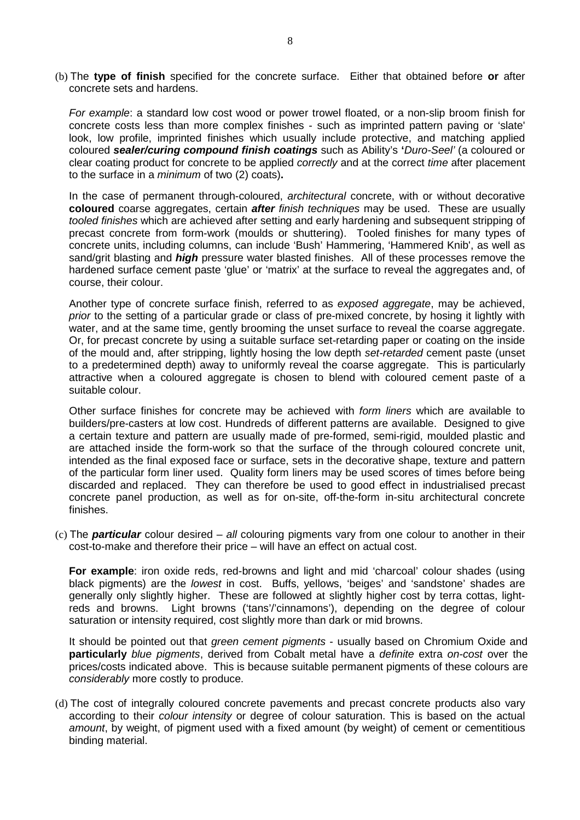(b) The **type of finish** specified for the concrete surface. Either that obtained before **or** after concrete sets and hardens.

For example: a standard low cost wood or power trowel floated, or a non-slip broom finish for concrete costs less than more complex finishes - such as imprinted pattern paving or 'slate' look, low profile, imprinted finishes which usually include protective, and matching applied coloured **sealer/curing compound finish coatings** such as Ability's **'**Duro-Seel' (a coloured or clear coating product for concrete to be applied *correctly* and at the correct *time* after placement to the surface in a minimum of two (2) coats)**.** 

In the case of permanent through-coloured, architectural concrete, with or without decorative **coloured** coarse aggregates, certain **after** finish techniques may be used. These are usually tooled finishes which are achieved after setting and early hardening and subsequent stripping of precast concrete from form-work (moulds or shuttering). Tooled finishes for many types of concrete units, including columns, can include 'Bush' Hammering, 'Hammered Knib', as well as sand/grit blasting and **high** pressure water blasted finishes. All of these processes remove the hardened surface cement paste 'glue' or 'matrix' at the surface to reveal the aggregates and, of course, their colour.

 Another type of concrete surface finish, referred to as exposed aggregate, may be achieved, prior to the setting of a particular grade or class of pre-mixed concrete, by hosing it lightly with water, and at the same time, gently brooming the unset surface to reveal the coarse aggregate. Or, for precast concrete by using a suitable surface set-retarding paper or coating on the inside of the mould and, after stripping, lightly hosing the low depth set-retarded cement paste (unset to a predetermined depth) away to uniformly reveal the coarse aggregate. This is particularly attractive when a coloured aggregate is chosen to blend with coloured cement paste of a suitable colour.

 Other surface finishes for concrete may be achieved with form liners which are available to builders/pre-casters at low cost. Hundreds of different patterns are available. Designed to give a certain texture and pattern are usually made of pre-formed, semi-rigid, moulded plastic and are attached inside the form-work so that the surface of the through coloured concrete unit, intended as the final exposed face or surface, sets in the decorative shape, texture and pattern of the particular form liner used. Quality form liners may be used scores of times before being discarded and replaced. They can therefore be used to good effect in industrialised precast concrete panel production, as well as for on-site, off-the-form in-situ architectural concrete finishes.

(c) The **particular** colour desired – all colouring pigments vary from one colour to another in their cost-to-make and therefore their price – will have an effect on actual cost.

**For example**: iron oxide reds, red-browns and light and mid 'charcoal' colour shades (using black pigments) are the lowest in cost. Buffs, yellows, 'beiges' and 'sandstone' shades are generally only slightly higher. These are followed at slightly higher cost by terra cottas, lightreds and browns. Light browns ('tans'/'cinnamons'), depending on the degree of colour saturation or intensity required, cost slightly more than dark or mid browns.

It should be pointed out that *green cement pigments* - usually based on Chromium Oxide and **particularly** blue pigments, derived from Cobalt metal have a definite extra on-cost over the prices/costs indicated above. This is because suitable permanent pigments of these colours are considerably more costly to produce.

(d) The cost of integrally coloured concrete pavements and precast concrete products also vary according to their *colour intensity* or degree of colour saturation. This is based on the actual amount, by weight, of pigment used with a fixed amount (by weight) of cement or cementitious binding material.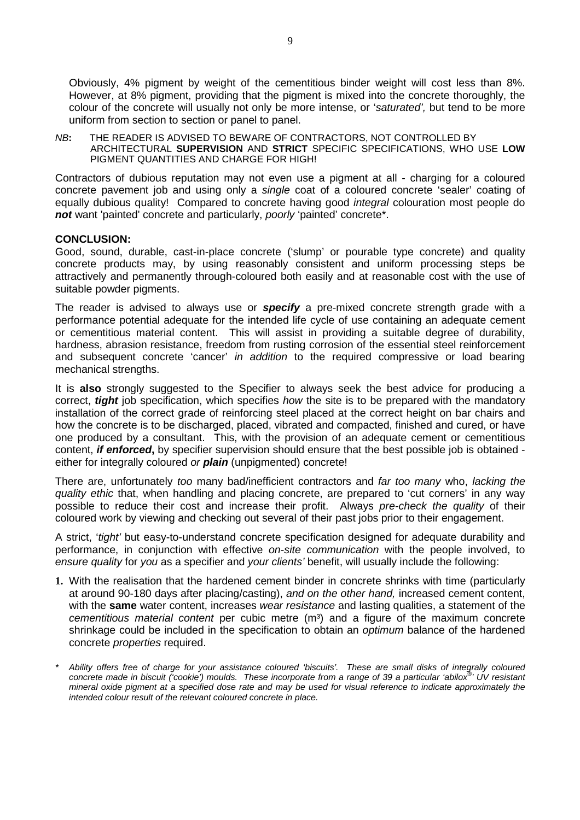Obviously, 4% pigment by weight of the cementitious binder weight will cost less than 8%. However, at 8% pigment, providing that the pigment is mixed into the concrete thoroughly, the colour of the concrete will usually not only be more intense, or 'saturated', but tend to be more uniform from section to section or panel to panel.

NB**:** THE READER IS ADVISED TO BEWARE OF CONTRACTORS, NOT CONTROLLED BY ARCHITECTURAL **SUPERVISION** AND **STRICT** SPECIFIC SPECIFICATIONS, WHO USE **LOW** PIGMENT QUANTITIES AND CHARGE FOR HIGH!

Contractors of dubious reputation may not even use a pigment at all - charging for a coloured concrete pavement job and using only a single coat of a coloured concrete 'sealer' coating of equally dubious quality! Compared to concrete having good *integral* colouration most people do **not** want 'painted' concrete and particularly, poorly 'painted' concrete\*.

#### **CONCLUSION:**

Good, sound, durable, cast-in-place concrete ('slump' or pourable type concrete) and quality concrete products may, by using reasonably consistent and uniform processing steps be attractively and permanently through-coloured both easily and at reasonable cost with the use of suitable powder pigments.

The reader is advised to always use or **specify** a pre-mixed concrete strength grade with a performance potential adequate for the intended life cycle of use containing an adequate cement or cementitious material content. This will assist in providing a suitable degree of durability, hardness, abrasion resistance, freedom from rusting corrosion of the essential steel reinforcement and subsequent concrete 'cancer' in addition to the required compressive or load bearing mechanical strengths.

It is **also** strongly suggested to the Specifier to always seek the best advice for producing a correct, **tight** job specification, which specifies how the site is to be prepared with the mandatory installation of the correct grade of reinforcing steel placed at the correct height on bar chairs and how the concrete is to be discharged, placed, vibrated and compacted, finished and cured, or have one produced by a consultant. This, with the provision of an adequate cement or cementitious content, **if enforced,** by specifier supervision should ensure that the best possible job is obtained either for integrally coloured or **plain** (unpigmented) concrete!

There are, unfortunately too many bad/inefficient contractors and far too many who, lacking the quality ethic that, when handling and placing concrete, are prepared to 'cut corners' in any way possible to reduce their cost and increase their profit. Always pre-check the quality of their coloured work by viewing and checking out several of their past jobs prior to their engagement.

A strict, 'tight' but easy-to-understand concrete specification designed for adequate durability and performance, in conjunction with effective on-site communication with the people involved, to ensure quality for you as a specifier and your clients' benefit, will usually include the following:

- **1.** With the realisation that the hardened cement binder in concrete shrinks with time (particularly at around 90-180 days after placing/casting), and on the other hand, increased cement content, with the **same** water content, increases wear resistance and lasting qualities, a statement of the cementitious material content per cubic metre  $(m<sup>3</sup>)$  and a figure of the maximum concrete shrinkage could be included in the specification to obtain an optimum balance of the hardened concrete properties required.
- Ability offers free of charge for your assistance coloured 'biscuits'. These are small disks of integrally coloured concrete made in biscuit ('cookie') moulds. These incorporate from a range of 39 a particular 'abilox<sup>®</sup> ' UV resistant mineral oxide pigment at a specified dose rate and may be used for visual reference to indicate approximately the intended colour result of the relevant coloured concrete in place.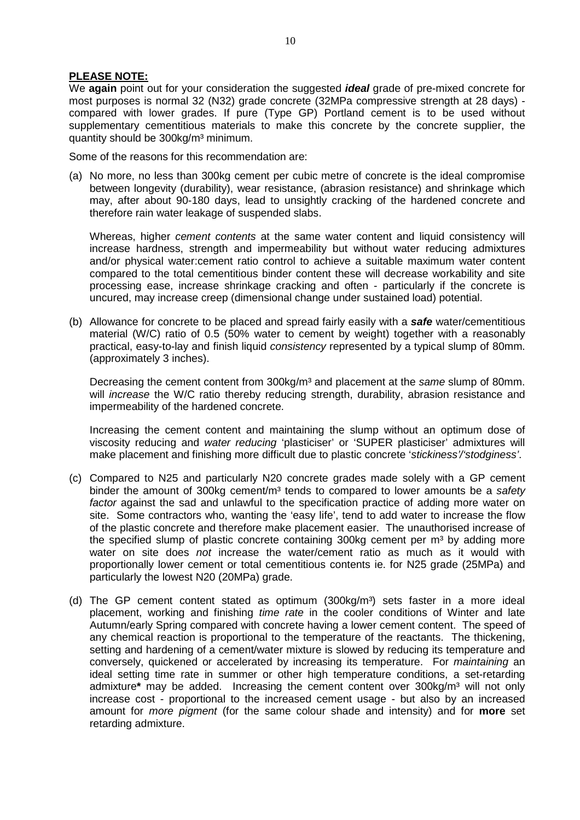#### **PLEASE NOTE:**

 We **again** point out for your consideration the suggested **ideal** grade of pre-mixed concrete for most purposes is normal 32 (N32) grade concrete (32MPa compressive strength at 28 days) compared with lower grades. If pure (Type GP) Portland cement is to be used without supplementary cementitious materials to make this concrete by the concrete supplier, the quantity should be 300kg/m³ minimum.

Some of the reasons for this recommendation are:

(a) No more, no less than 300kg cement per cubic metre of concrete is the ideal compromise between longevity (durability), wear resistance, (abrasion resistance) and shrinkage which may, after about 90-180 days, lead to unsightly cracking of the hardened concrete and therefore rain water leakage of suspended slabs.

Whereas, higher *cement contents* at the same water content and liquid consistency will increase hardness, strength and impermeability but without water reducing admixtures and/or physical water:cement ratio control to achieve a suitable maximum water content compared to the total cementitious binder content these will decrease workability and site processing ease, increase shrinkage cracking and often - particularly if the concrete is uncured, may increase creep (dimensional change under sustained load) potential.

(b) Allowance for concrete to be placed and spread fairly easily with a **safe** water/cementitious material (W/C) ratio of 0.5 (50% water to cement by weight) together with a reasonably practical, easy-to-lay and finish liquid consistency represented by a typical slump of 80mm. (approximately 3 inches).

Decreasing the cement content from 300kg/m<sup>3</sup> and placement at the same slump of 80mm. will *increase* the W/C ratio thereby reducing strength, durability, abrasion resistance and impermeability of the hardened concrete.

Increasing the cement content and maintaining the slump without an optimum dose of viscosity reducing and water reducing 'plasticiser' or 'SUPER plasticiser' admixtures will make placement and finishing more difficult due to plastic concrete 'stickiness'/'stodginess'.

- (c) Compared to N25 and particularly N20 concrete grades made solely with a GP cement binder the amount of 300kg cement/ $m<sup>3</sup>$  tends to compared to lower amounts be a safety factor against the sad and unlawful to the specification practice of adding more water on site. Some contractors who, wanting the 'easy life', tend to add water to increase the flow of the plastic concrete and therefore make placement easier. The unauthorised increase of the specified slump of plastic concrete containing  $300kg$  cement per m<sup>3</sup> by adding more water on site does not increase the water/cement ratio as much as it would with proportionally lower cement or total cementitious contents ie. for N25 grade (25MPa) and particularly the lowest N20 (20MPa) grade.
- (d) The GP cement content stated as optimum  $(300kg/m<sup>3</sup>)$  sets faster in a more ideal placement, working and finishing *time rate* in the cooler conditions of Winter and late Autumn/early Spring compared with concrete having a lower cement content. The speed of any chemical reaction is proportional to the temperature of the reactants. The thickening, setting and hardening of a cement/water mixture is slowed by reducing its temperature and conversely, quickened or accelerated by increasing its temperature. For maintaining an ideal setting time rate in summer or other high temperature conditions, a set-retarding admixture<sup>\*</sup> may be added. Increasing the cement content over 300kg/m<sup>3</sup> will not only increase cost - proportional to the increased cement usage - but also by an increased amount for more pigment (for the same colour shade and intensity) and for **more** set retarding admixture.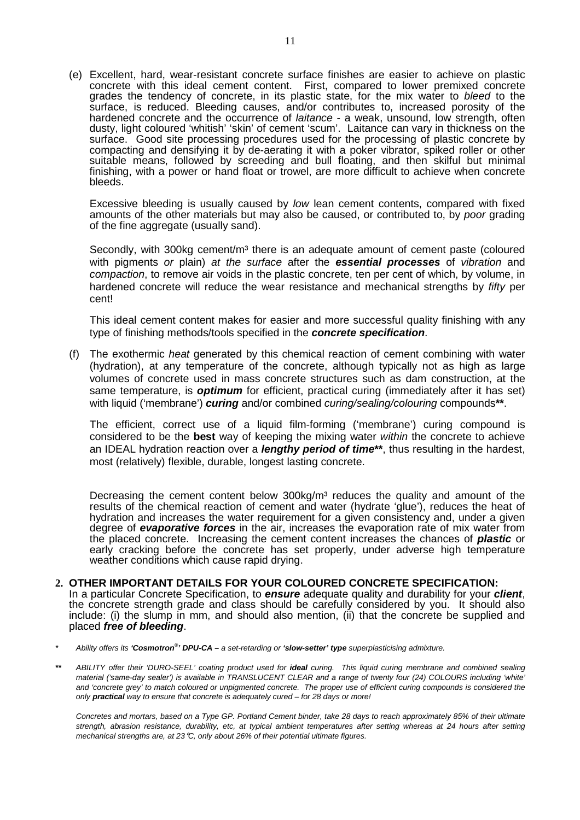(e) Excellent, hard, wear-resistant concrete surface finishes are easier to achieve on plastic concrete with this ideal cement content. First, compared to lower premixed concrete grades the tendency of concrete, in its plastic state, for the mix water to bleed to the surface, is reduced. Bleeding causes, and/or contributes to, increased porosity of the hardened concrete and the occurrence of *laitance* - a weak, unsound, low strength, often dusty, light coloured 'whitish' 'skin' of cement 'scum'. Laitance can vary in thickness on the surface. Good site processing procedures used for the processing of plastic concrete by compacting and densifying it by de-aerating it with a poker vibrator, spiked roller or other suitable means, followed by screeding and bull floating, and then skilful but minimal finishing, with a power or hand float or trowel, are more difficult to achieve when concrete bleeds.

Excessive bleeding is usually caused by low lean cement contents, compared with fixed amounts of the other materials but may also be caused, or contributed to, by poor grading of the fine aggregate (usually sand).

Secondly, with 300kg cement/m<sup>3</sup> there is an adequate amount of cement paste (coloured with pigments or plain) at the surface after the **essential processes** of vibration and compaction, to remove air voids in the plastic concrete, ten per cent of which, by volume, in hardened concrete will reduce the wear resistance and mechanical strengths by *fifty* per cent!

This ideal cement content makes for easier and more successful quality finishing with any type of finishing methods/tools specified in the **concrete specification**.

(f) The exothermic heat generated by this chemical reaction of cement combining with water (hydration), at any temperature of the concrete, although typically not as high as large volumes of concrete used in mass concrete structures such as dam construction, at the same temperature, is **optimum** for efficient, practical curing (immediately after it has set) with liquid ('membrane') *curing* and/or combined *curing/sealing/colouring* compounds\*\*.

The efficient, correct use of a liquid film-forming ('membrane') curing compound is considered to be the **best** way of keeping the mixing water within the concrete to achieve an IDEAL hydration reaction over a **lengthy period of time\*\***, thus resulting in the hardest, most (relatively) flexible, durable, longest lasting concrete.

Decreasing the cement content below  $300kg/m<sup>3</sup>$  reduces the quality and amount of the results of the chemical reaction of cement and water (hydrate 'glue'), reduces the heat of hydration and increases the water requirement for a given consistency and, under a given degree of **evaporative forces** in the air, increases the evaporation rate of mix water from the placed concrete. Increasing the cement content increases the chances of **plastic** or early cracking before the concrete has set properly, under adverse high temperature weather conditions which cause rapid drying.

#### **2. OTHER IMPORTANT DETAILS FOR YOUR COLOURED CONCRETE SPECIFICATION:**

 In a particular Concrete Specification, to **ensure** adequate quality and durability for your **client**, the concrete strength grade and class should be carefully considered by you. It should also include: (i) the slump in mm, and should also mention, (ii) that the concrete be supplied and placed **free of bleeding**.

\* Ability offers its **'Cosmotron® ' DPU-CA –** a set-retarding or **'slow-setter' type** superplasticising admixture.

**\*\*** ABILITY offer their 'DURO-SEEL' coating product used for **ideal** curing. This liquid curing membrane and combined sealing material ('same-day sealer') is available in TRANSLUCENT CLEAR and a range of twenty four (24) COLOURS including 'white' and 'concrete grey' to match coloured or unpigmented concrete. The proper use of efficient curing compounds is considered the only **practical** way to ensure that concrete is adequately cured – for 28 days or more!

 Concretes and mortars, based on a Type GP. Portland Cement binder, take 28 days to reach approximately 85% of their ultimate strength, abrasion resistance, durability, etc, at typical ambient temperatures after setting whereas at 24 hours after setting mechanical strengths are, at 23°C, only about 26% of their potential ultimate figures.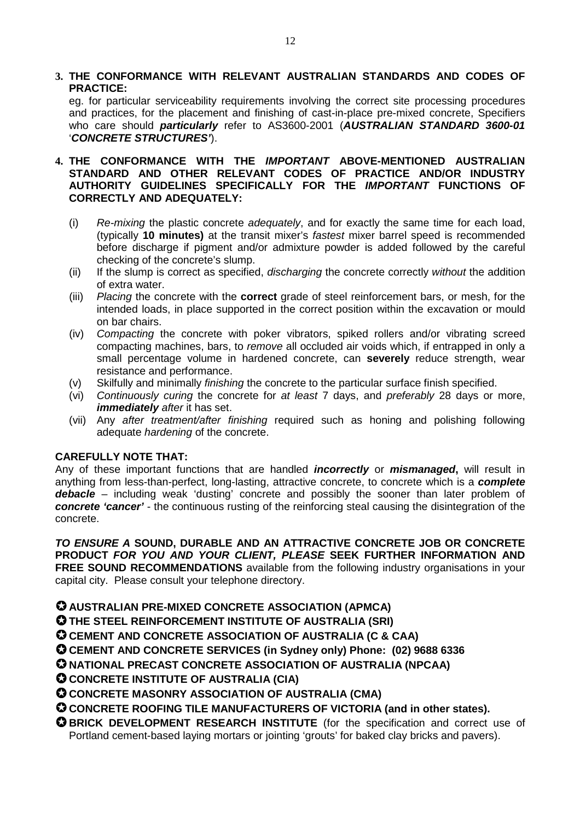# **3. THE CONFORMANCE WITH RELEVANT AUSTRALIAN STANDARDS AND CODES OF PRACTICE:**

 eg. for particular serviceability requirements involving the correct site processing procedures and practices, for the placement and finishing of cast-in-place pre-mixed concrete, Specifiers who care should **particularly** refer to AS3600-2001 (**AUSTRALIAN STANDARD 3600-01**  '**CONCRETE STRUCTURES'**).

# **4. THE CONFORMANCE WITH THE IMPORTANT ABOVE-MENTIONED AUSTRALIAN STANDARD AND OTHER RELEVANT CODES OF PRACTICE AND/OR INDUSTRY AUTHORITY GUIDELINES SPECIFICALLY FOR THE IMPORTANT FUNCTIONS OF CORRECTLY AND ADEQUATELY:**

- (i) Re-mixing the plastic concrete adequately, and for exactly the same time for each load, (typically **10 minutes)** at the transit mixer's fastest mixer barrel speed is recommended before discharge if pigment and/or admixture powder is added followed by the careful checking of the concrete's slump.
- (ii) If the slump is correct as specified, discharging the concrete correctly without the addition of extra water.
- (iii) Placing the concrete with the **correct** grade of steel reinforcement bars, or mesh, for the intended loads, in place supported in the correct position within the excavation or mould on bar chairs.
- (iv) Compacting the concrete with poker vibrators, spiked rollers and/or vibrating screed compacting machines, bars, to remove all occluded air voids which, if entrapped in only a small percentage volume in hardened concrete, can **severely** reduce strength, wear resistance and performance.
- (v) Skilfully and minimally finishing the concrete to the particular surface finish specified.
- (vi) Continuously curing the concrete for at least 7 days, and preferably 28 days or more, *immediately after it has set.*
- (vii) Any after treatment/after finishing required such as honing and polishing following adequate *hardening* of the concrete.

# **CAREFULLY NOTE THAT:**

Any of these important functions that are handled **incorrectly** or **mismanaged,** will result in anything from less-than-perfect, long-lasting, attractive concrete, to concrete which is a **complete debacle** – including weak 'dusting' concrete and possibly the sooner than later problem of **concrete 'cancer'** - the continuous rusting of the reinforcing steal causing the disintegration of the concrete.

**TO ENSURE A SOUND, DURABLE AND AN ATTRACTIVE CONCRETE JOB OR CONCRETE PRODUCT FOR YOU AND YOUR CLIENT, PLEASE SEEK FURTHER INFORMATION AND**  FREE SOUND RECOMMENDATIONS available from the following industry organisations in your capital city. Please consult your telephone directory.

# **AUSTRALIAN PRE-MIXED CONCRETE ASSOCIATION (APMCA)**

**THE STEEL REINFORCEMENT INSTITUTE OF AUSTRALIA (SRI)** 

**CEMENT AND CONCRETE ASSOCIATION OF AUSTRALIA (C & CAA)** 

**CEMENT AND CONCRETE SERVICES (in Sydney only) Phone: (02) 9688 6336** 

**NATIONAL PRECAST CONCRETE ASSOCIATION OF AUSTRALIA (NPCAA)**

**CONCRETE INSTITUTE OF AUSTRALIA (CIA)** 

**CONCRETE MASONRY ASSOCIATION OF AUSTRALIA (CMA)** 

# **CONCRETE ROOFING TILE MANUFACTURERS OF VICTORIA (and in other states).**

**BRICK DEVELOPMENT RESEARCH INSTITUTE** (for the specification and correct use of Portland cement-based laying mortars or jointing 'grouts' for baked clay bricks and pavers).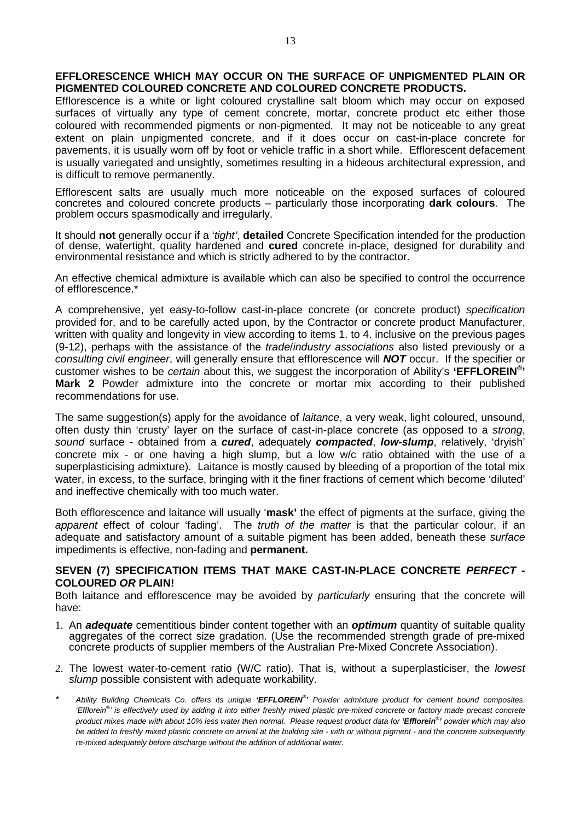#### **EFFLORESCENCE WHICH MAY OCCUR ON THE SURFACE OF UNPIGMENTED PLAIN OR PIGMENTED COLOURED CONCRETE AND COLOURED CONCRETE PRODUCTS.**

Efflorescence is a white or light coloured crystalline salt bloom which may occur on exposed surfaces of virtually any type of cement concrete, mortar, concrete product etc either those coloured with recommended pigments or non-pigmented. It may not be noticeable to any great extent on plain unpigmented concrete, and if it does occur on cast-in-place concrete for pavements, it is usually worn off by foot or vehicle traffic in a short while. Efflorescent defacement is usually variegated and unsightly, sometimes resulting in a hideous architectural expression, and is difficult to remove permanently.

Efflorescent salts are usually much more noticeable on the exposed surfaces of coloured concretes and coloured concrete products – particularly those incorporating **dark colours**. The problem occurs spasmodically and irregularly.

It should **not** generally occur if a 'tight', **detailed** Concrete Specification intended for the production of dense, watertight, quality hardened and **cured** concrete in-place, designed for durability and environmental resistance and which is strictly adhered to by the contractor.

An effective chemical admixture is available which can also be specified to control the occurrence of efflorescence.\*

A comprehensive, yet easy-to-follow cast-in-place concrete (or concrete product) specification provided for, and to be carefully acted upon, by the Contractor or concrete product Manufacturer, written with quality and longevity in view according to items 1. to 4. inclusive on the previous pages (9-12), perhaps with the assistance of the *trade/industry associations* also listed previously or a consulting civil engineer, will generally ensure that efflorescence will **NOT** occur. If the specifier or customer wishes to be certain about this, we suggest the incorporation of Ability's **'EFFLOREIN® ' Mark 2** Powder admixture into the concrete or mortar mix according to their published recommendations for use.

The same suggestion(s) apply for the avoidance of *laitance*, a very weak, light coloured, unsound, often dusty thin 'crusty' layer on the surface of cast-in-place concrete (as opposed to a strong, sound surface - obtained from a **cured**, adequately **compacted**, **low-slump**, relatively, 'dryish' concrete mix - or one having a high slump, but a low w/c ratio obtained with the use of a superplasticising admixture). Laitance is mostly caused by bleeding of a proportion of the total mix water, in excess, to the surface, bringing with it the finer fractions of cement which become 'diluted' and ineffective chemically with too much water.

Both efflorescence and laitance will usually '**mask'** the effect of pigments at the surface, giving the apparent effect of colour 'fading'. The truth of the matter is that the particular colour, if an adequate and satisfactory amount of a suitable pigment has been added, beneath these surface impediments is effective, non-fading and **permanent.** 

#### **SEVEN (7) SPECIFICATION ITEMS THAT MAKE CAST-IN-PLACE CONCRETE PERFECT - COLOURED OR PLAIN!**

Both laitance and efflorescence may be avoided by *particularly* ensuring that the concrete will have:

- 1. An **adequate** cementitious binder content together with an **optimum** quantity of suitable quality aggregates of the correct size gradation. (Use the recommended strength grade of pre-mixed concrete products of supplier members of the Australian Pre-Mixed Concrete Association).
- 2. The lowest water-to-cement ratio (W/C ratio). That is, without a superplasticiser, the lowest slump possible consistent with adequate workability.
- \* Ability Building Chemicals Co. offers its unique **'EFFLOREIN® '** Powder admixture product for cement bound composites. 'Efflorein® ' is effectively used by adding it into either freshly mixed plastic pre-mixed concrete or factory made precast concrete product mixes made with about 10% less water then normal. Please request product data for **'Efflorein® '** powder which may also be added to freshly mixed plastic concrete on arrival at the building site - with or without pigment - and the concrete subsequently re-mixed adequately before discharge without the addition of additional water.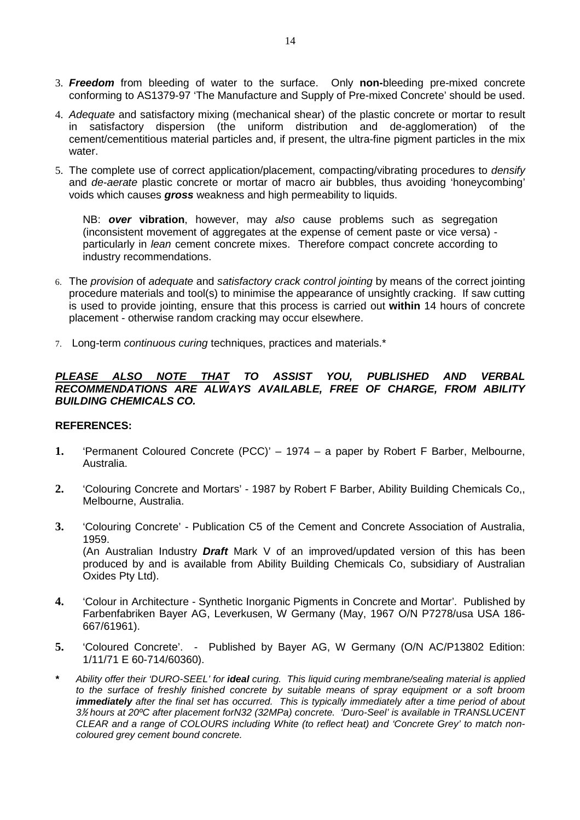- 3. **Freedom** from bleeding of water to the surface. Only **non-**bleeding pre-mixed concrete conforming to AS1379-97 'The Manufacture and Supply of Pre-mixed Concrete' should be used.
- 4. Adequate and satisfactory mixing (mechanical shear) of the plastic concrete or mortar to result in satisfactory dispersion (the uniform distribution and de-agglomeration) of the cement/cementitious material particles and, if present, the ultra-fine pigment particles in the mix water.
- 5. The complete use of correct application/placement, compacting/vibrating procedures to densify and de-aerate plastic concrete or mortar of macro air bubbles, thus avoiding 'honeycombing' voids which causes **gross** weakness and high permeability to liquids.

NB: **over vibration**, however, may also cause problems such as segregation (inconsistent movement of aggregates at the expense of cement paste or vice versa) particularly in lean cement concrete mixes. Therefore compact concrete according to industry recommendations.

- 6. The provision of adequate and satisfactory crack control jointing by means of the correct jointing procedure materials and tool(s) to minimise the appearance of unsightly cracking. If saw cutting is used to provide jointing, ensure that this process is carried out **within** 14 hours of concrete placement - otherwise random cracking may occur elsewhere.
- 7. Long-term continuous curing techniques, practices and materials.\*

#### **PLEASE ALSO NOTE THAT TO ASSIST YOU, PUBLISHED AND VERBAL RECOMMENDATIONS ARE ALWAYS AVAILABLE, FREE OF CHARGE, FROM ABILITY BUILDING CHEMICALS CO.**

#### **REFERENCES:**

- **1.** 'Permanent Coloured Concrete (PCC)' 1974 a paper by Robert F Barber, Melbourne, Australia.
- **2.** 'Colouring Concrete and Mortars' 1987 by Robert F Barber, Ability Building Chemicals Co,, Melbourne, Australia.
- **3.** 'Colouring Concrete' Publication C5 of the Cement and Concrete Association of Australia, 1959. (An Australian Industry **Draft** Mark V of an improved/updated version of this has been produced by and is available from Ability Building Chemicals Co, subsidiary of Australian Oxides Pty Ltd).
- **4.** 'Colour in Architecture Synthetic Inorganic Pigments in Concrete and Mortar'. Published by Farbenfabriken Bayer AG, Leverkusen, W Germany (May, 1967 O/N P7278/usa USA 186- 667/61961).
- **5.** 'Coloured Concrete'. Published by Bayer AG, W Germany (O/N AC/P13802 Edition: 1/11/71 E 60-714/60360).
- **\*** Ability offer their 'DURO-SEEL' for **ideal** curing. This liquid curing membrane/sealing material is applied to the surface of freshly finished concrete by suitable means of spray equipment or a soft broom **immediately** after the final set has occurred. This is typically immediately after a time period of about 3½ hours at 20ºC after placement forN32 (32MPa) concrete. 'Duro-Seel' is available in TRANSLUCENT CLEAR and a range of COLOURS including White (to reflect heat) and 'Concrete Grey' to match noncoloured grey cement bound concrete.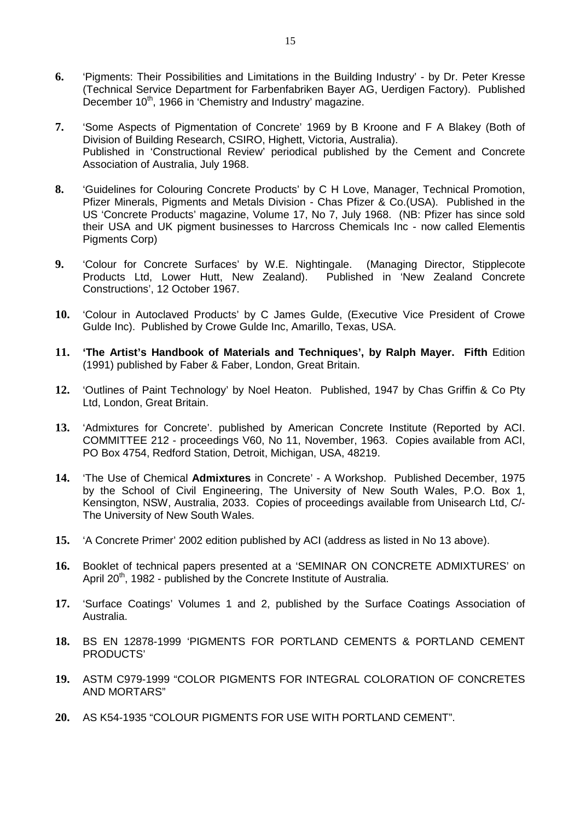- **6.** 'Pigments: Their Possibilities and Limitations in the Building Industry' by Dr. Peter Kresse (Technical Service Department for Farbenfabriken Bayer AG, Uerdigen Factory). Published December 10<sup>th</sup>, 1966 in 'Chemistry and Industry' magazine.
- **7.** 'Some Aspects of Pigmentation of Concrete' 1969 by B Kroone and F A Blakey (Both of Division of Building Research, CSIRO, Highett, Victoria, Australia). Published in 'Constructional Review' periodical published by the Cement and Concrete Association of Australia, July 1968.
- **8.** 'Guidelines for Colouring Concrete Products' by C H Love, Manager, Technical Promotion, Pfizer Minerals, Pigments and Metals Division - Chas Pfizer & Co.(USA). Published in the US 'Concrete Products' magazine, Volume 17, No 7, July 1968. (NB: Pfizer has since sold their USA and UK pigment businesses to Harcross Chemicals Inc - now called Elementis Pigments Corp)
- **9.** 'Colour for Concrete Surfaces' by W.E. Nightingale. (Managing Director, Stipplecote Products Ltd, Lower Hutt, New Zealand). Published in 'New Zealand Concrete Constructions', 12 October 1967.
- **10.** 'Colour in Autoclaved Products' by C James Gulde, (Executive Vice President of Crowe Gulde Inc). Published by Crowe Gulde Inc, Amarillo, Texas, USA.
- **11. 'The Artist's Handbook of Materials and Techniques', by Ralph Mayer. Fifth** Edition (1991) published by Faber & Faber, London, Great Britain.
- **12.** 'Outlines of Paint Technology' by Noel Heaton. Published, 1947 by Chas Griffin & Co Pty Ltd, London, Great Britain.
- **13.** 'Admixtures for Concrete'. published by American Concrete Institute (Reported by ACI. COMMITTEE 212 - proceedings V60, No 11, November, 1963. Copies available from ACI, PO Box 4754, Redford Station, Detroit, Michigan, USA, 48219.
- **14.** 'The Use of Chemical **Admixtures** in Concrete' A Workshop. Published December, 1975 by the School of Civil Engineering, The University of New South Wales, P.O. Box 1, Kensington, NSW, Australia, 2033. Copies of proceedings available from Unisearch Ltd, C/- The University of New South Wales.
- **15.** 'A Concrete Primer' 2002 edition published by ACI (address as listed in No 13 above).
- **16.** Booklet of technical papers presented at a 'SEMINAR ON CONCRETE ADMIXTURES' on April  $20<sup>th</sup>$ , 1982 - published by the Concrete Institute of Australia.
- **17.** 'Surface Coatings' Volumes 1 and 2, published by the Surface Coatings Association of Australia.
- **18.** BS EN 12878-1999 'PIGMENTS FOR PORTLAND CEMENTS & PORTLAND CEMENT PRODUCTS'
- **19.** ASTM C979-1999 "COLOR PIGMENTS FOR INTEGRAL COLORATION OF CONCRETES AND MORTARS"
- **20.** AS K54-1935 "COLOUR PIGMENTS FOR USE WITH PORTLAND CEMENT".